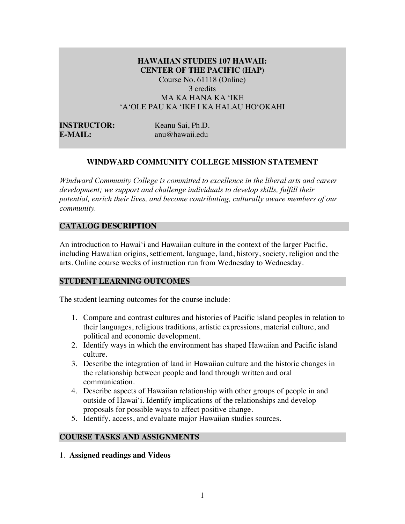## **HAWAIIAN STUDIES 107 HAWAII: CENTER OF THE PACIFIC (HAP)** Course No. 61118 (Online)

3 credits MA KA HANA KA ʻIKE ʻAʻOLE PAU KA ʻIKE I KA HALAU HOʻOKAHI

**INSTRUCTOR:** Keanu Sai, Ph.D. **E-MAIL:** anu@hawaii.edu

# **WINDWARD COMMUNITY COLLEGE MISSION STATEMENT**

*Windward Community College is committed to excellence in the liberal arts and career development; we support and challenge individuals to develop skills, fulfill their potential, enrich their lives, and become contributing, culturally aware members of our community.*

## **CATALOG DESCRIPTION**

An introduction to Hawai'i and Hawaiian culture in the context of the larger Pacific, including Hawaiian origins, settlement, language, land, history, society, religion and the arts. Online course weeks of instruction run from Wednesday to Wednesday.

## **STUDENT LEARNING OUTCOMES**

The student learning outcomes for the course include:

- 1. Compare and contrast cultures and histories of Pacific island peoples in relation to their languages, religious traditions, artistic expressions, material culture, and political and economic development.
- 2. Identify ways in which the environment has shaped Hawaiian and Pacific island culture.
- 3. Describe the integration of land in Hawaiian culture and the historic changes in the relationship between people and land through written and oral communication.
- 4. Describe aspects of Hawaiian relationship with other groups of people in and outside of Hawai'i. Identify implications of the relationships and develop proposals for possible ways to affect positive change.
- 5. Identify, access, and evaluate major Hawaiian studies sources.

# **COURSE TASKS AND ASSIGNMENTS**

1. **Assigned readings and Videos**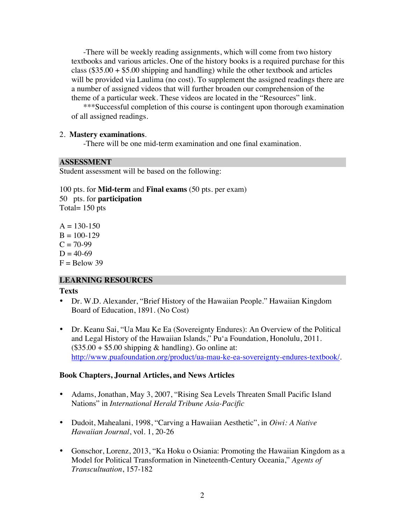-There will be weekly reading assignments, which will come from two history textbooks and various articles. One of the history books is a required purchase for this class  $(\$35.00 + \$5.00$  shipping and handling) while the other textbook and articles will be provided via Laulima (no cost). To supplement the assigned readings there are a number of assigned videos that will further broaden our comprehension of the theme of a particular week. These videos are located in the "Resources" link.

\*\*\*Successful completion of this course is contingent upon thorough examination of all assigned readings.

## 2. **Mastery examinations**.

-There will be one mid-term examination and one final examination.

## **ASSESSMENT**

Student assessment will be based on the following:

100 pts. for **Mid-term** and **Final exams** (50 pts. per exam) 50 pts. for **participation** Total= 150 pts

 $A = 130-150$  $B = 100 - 129$  $C = 70-99$  $D = 40-69$  $F =$  Below 39

## **LEARNING RESOURCES**

#### **Texts**

- Dr. W.D. Alexander, "Brief History of the Hawaiian People." Hawaiian Kingdom Board of Education, 1891. (No Cost)
- Dr. Keanu Sai, "Ua Mau Ke Ea (Sovereignty Endures): An Overview of the Political and Legal History of the Hawaiian Islands," Pu'a Foundation, Honolulu, 2011.  $($35.00 + $5.00$  shipping & handling). Go online at: http://www.puafoundation.org/product/ua-mau-ke-ea-sovereignty-endures-textbook/.

## **Book Chapters, Journal Articles, and News Articles**

- Adams, Jonathan, May 3, 2007, "Rising Sea Levels Threaten Small Pacific Island Nations" in *International Herald Tribune Asia-Pacific*
- Dudoit, Mahealani, 1998, "Carving a Hawaiian Aesthetic", in *Oiwi: A Native Hawaiian Journal*, vol. 1, 20-26
- Gonschor, Lorenz, 2013, "Ka Hoku o Osiania: Promoting the Hawaiian Kingdom as a Model for Political Transformation in Nineteenth-Century Oceania," *Agents of Transcultuation*, 157-182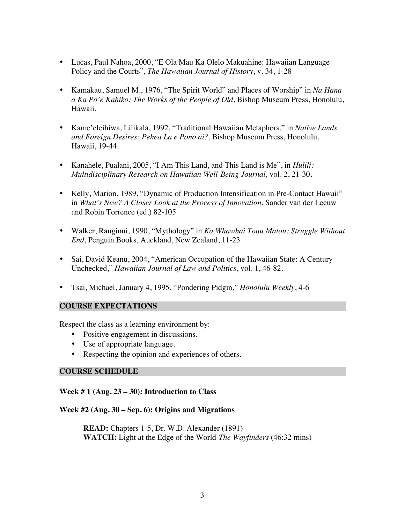- Lucas, Paul Nahoa, 2000, "E Ola Mau Ka Olelo Makuahine: Hawaiian Language Policy and the Courts", *The Hawaiian Journal of History*, v. 34, 1-28
- Kamakau, Samuel M., 1976, "The Spirit World" and Places of Worship" in *Na Hana a Ka Po'e Kahiko: The Works of the People of Old*, Bishop Museum Press, Honolulu, Hawaii.
- Kame'eleihiwa, Lilikala, 1992, "Traditional Hawaiian Metaphors," in *Native Lands and Foreign Desires: Pehea La e Pono ai?*, Bishop Museum Press, Honolulu, Hawaii, 19-44.
- Kanahele, Pualani, 2005, "I Am This Land, and This Land is Me", in *Hulili: Multidisciplinary Research on Hawaiian Well-Being Journal,* vol. 2, 21-30.
- Kelly, Marion, 1989, "Dynamic of Production Intensification in Pre-Contact Hawaii" in *What's New? A Closer Look at the Process of Innovation*, Sander van der Leeuw and Robin Torrence (ed.) 82-105
- Walker, Ranginui, 1990, "Mythology" in *Ka Whawhai Tonu Matou: Struggle Without End*, Penguin Books, Auckland, New Zealand, 11-23
- Sai, David Keanu, 2004, "American Occupation of the Hawaiian State: A Century Unchecked," *Hawaiian Journal of Law and Politics*, vol. 1, 46-82.
- Tsai, Michael, January 4, 1995, "Pondering Pidgin," *Honolulu Weekly*, 4-6

## **COURSE EXPECTATIONS**

Respect the class as a learning environment by:

- Positive engagement in discussions.
- Use of appropriate language.
- Respecting the opinion and experiences of others*.*

## **COURSE SCHEDULE**

## **Week # 1 (Aug. 23 – 30): Introduction to Class**

## **Week #2 (Aug. 30 – Sep. 6): Origins and Migrations**

**READ:** Chapters 1-5, Dr. W.D. Alexander (1891) **WATCH:** Light at the Edge of the World-*The Wayfinders* (46:32 mins)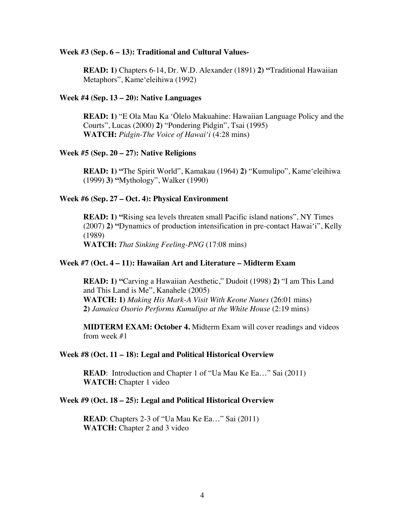#### **Week #3 (Sep. 6 – 13): Traditional and Cultural Values-**

**READ: 1)** Chapters 6-14, Dr. W.D. Alexander (1891) **2) "**Traditional Hawaiian Metaphors", Kameʻeleihiwa (1992)

#### **Week #4 (Sep. 13 – 20): Native Languages**

**READ: 1)** "E Ola Mau Ka ʻŌlelo Makuahine: Hawaiian Language Policy and the Courts", Lucas (2000) **2)** "Pondering Pidgin", Tsai (1995) **WATCH:** *Pidgin-The Voice of Hawaiʻi* (4:28 mins)

## **Week #5 (Sep. 20 – 27): Native Religions**

**READ: 1) "**The Spirit World", Kamakau (1964) **2)** "Kumulipo", Kameʻeleihiwa (1999) **3) "**Mythology", Walker (1990)

#### **Week #6 (Sep. 27 – Oct. 4): Physical Environment**

**READ: 1) "**Rising sea levels threaten small Pacific island nations", NY Times (2007) **2) "**Dynamics of production intensification in pre-contact Hawai'i", Kelly (1989) **WATCH:** *That Sinking Feeling-PNG* (17:08 mins)

## **Week #7 (Oct. 4 – 11): Hawaiian Art and Literature – Midterm Exam**

**READ: 1) "**Carving a Hawaiian Aesthetic," Dudoit (1998) **2)** "I am This Land and This Land is Me", Kanahele (2005) **WATCH: 1)** *Making His Mark-A Visit With Keone Nunes* (26:01 mins) **2)** *Jamaica Osorio Performs Kumulipo at the White House* (2:19 mins)

**MIDTERM EXAM: October 4.** Midterm Exam will cover readings and videos from week #1

#### **Week #8 (Oct. 11 – 18): Legal and Political Historical Overview**

**READ:** Introduction and Chapter 1 of "Ua Mau Ke Ea..." Sai (2011) **WATCH:** Chapter 1 video

#### **Week #9 (Oct. 18 – 25): Legal and Political Historical Overview**

**READ**: Chapters 2-3 of "Ua Mau Ke Ea..." Sai (2011) **WATCH:** Chapter 2 and 3 video